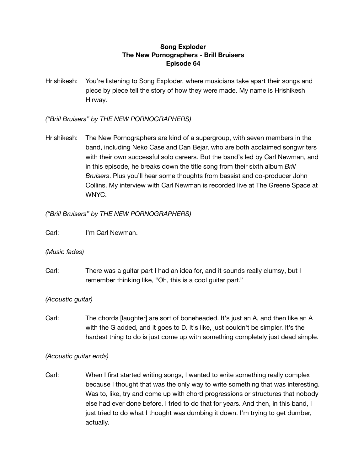# **Song Exploder The New Pornographers - Brill Bruisers Episode 64**

Hrishikesh: You're listening to Song Exploder, where musicians take apart their songs and piece by piece tell the story of how they were made. My name is Hrishikesh Hirway.

*("Brill Bruisers" by THE NEW PORNOGRAPHERS)*

Hrishikesh: The New Pornographers are kind of a supergroup, with seven members in the band, including Neko Case and Dan Bejar, who are both acclaimed songwriters with their own successful solo careers. But the band's led by Carl Newman, and in this episode, he breaks down the title song from their sixth album *Brill Bruisers*. Plus you'll hear some thoughts from bassist and co-producer John Collins. My interview with Carl Newman is recorded live at The Greene Space at WNYC.

# *("Brill Bruisers" by THE NEW PORNOGRAPHERS)*

Carl: I'm Carl Newman.

# *(Music fades)*

Carl: There was a guitar part I had an idea for, and it sounds really clumsy, but I remember thinking like, "Oh, this is a cool guitar part."

# *(Acoustic guitar)*

Carl: The chords [laughter] are sort of boneheaded. It's just an A, and then like an A with the G added, and it goes to D. It's like, just couldn't be simpler. It's the hardest thing to do is just come up with something completely just dead simple.

# *(Acoustic guitar ends)*

Carl: When I first started writing songs, I wanted to write something really complex because I thought that was the only way to write something that was interesting. Was to, like, try and come up with chord progressions or structures that nobody else had ever done before. I tried to do that for years. And then, in this band, I just tried to do what I thought was dumbing it down. I'm trying to get dumber, actually.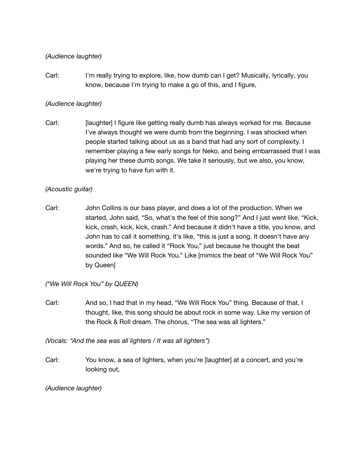## *(Audience laughter)*

Carl: I'm really trying to explore, like, how dumb can I get? Musically, lyrically, you know, because I'm trying to make a go of this, and I figure,

# *(Audience laughter)*

Carl: [laughter] I figure like getting really dumb has always worked for me. Because I've always thought we were dumb from the beginning. I was shocked when people started talking about us as a band that had any sort of complexity. I remember playing a few early songs for Neko, and being embarrassed that I was playing her these dumb songs. We take it seriously, but we also, you know, we're trying to have fun with it.

# *(Acoustic guitar)*

Carl: John Collins is our bass player, and does a lot of the production. When we started, John said, "So, what's the feel of this song?" And I just went like, "Kick, kick, crash, kick, kick, crash." And because it didn't have a title, you know, and John has to call it something, it's like, "this is just a song. It doesn't have any words." And so, he called it "Rock You," just because he thought the beat sounded like "We Will Rock You." Like [mimics the beat of "We Will Rock You" by Queen]

# *("We Will Rock You" by QUEEN)*

Carl: And so, I had that in my head, "We Will Rock You" thing. Because of that, I thought, like, this song should be about rock in some way. Like my version of the Rock & Roll dream. The chorus, "The sea was all lighters."

*(Vocals: "And the sea was all lighters / It was all lighters")*

Carl: You know, a sea of lighters, when you're [laughter] at a concert, and you're looking out,

*(Audience laughter)*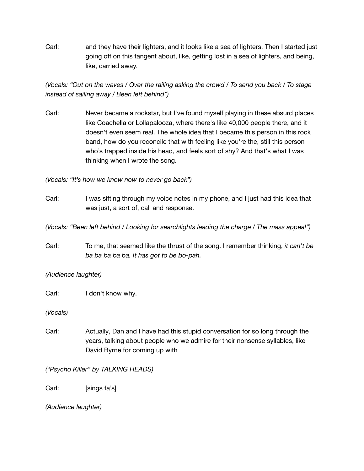Carl: and they have their lighters, and it looks like a sea of lighters. Then I started just going off on this tangent about, like, getting lost in a sea of lighters, and being, like, carried away.

(Vocals: "Out on the waves / Over the railing asking the crowd / To send you back / To stage *instead of sailing away / Been left behind")*

Carl: Never became a rockstar, but I've found myself playing in these absurd places like Coachella or Lollapalooza, where there's like 40,000 people there, and it doesn't even seem real. The whole idea that I became this person in this rock band, how do you reconcile that with feeling like you're the, still this person who's trapped inside his head, and feels sort of shy? And that's what I was thinking when I wrote the song.

*(Vocals: "It's how we know now to never go back")*

Carl: I was sifting through my voice notes in my phone, and I just had this idea that was just, a sort of, call and response.

*(Vocals: "Been left behind / Looking for searchlights leading the charge / The mass appeal")*

Carl: To me, that seemed like the thrust of the song. I remember thinking, *it can't be ba ba ba ba ba. It has got to be bo-pah.*

*(Audience laughter)*

Carl: I don't know why.

*(Vocals)*

Carl: Actually, Dan and I have had this stupid conversation for so long through the years, talking about people who we admire for their nonsense syllables, like David Byrne for coming up with

*("Psycho Killer" by TALKING HEADS)*

Carl: [sings fa's]

*(Audience laughter)*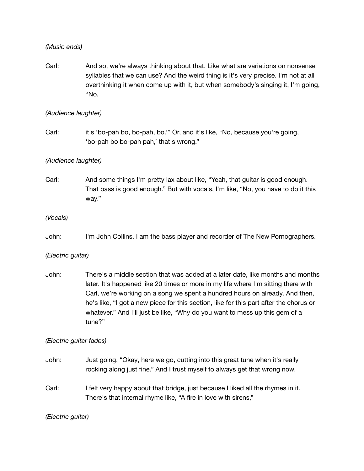*(Music ends)*

Carl: And so, we're always thinking about that. Like what are variations on nonsense syllables that we can use? And the weird thing is it's very precise. I'm not at all overthinking it when come up with it, but when somebody's singing it, I'm going, "No,

#### *(Audience laughter)*

Carl: it's 'bo-pah bo, bo-pah, bo.'" Or, and it's like, "No, because you're going, 'bo-pah bo bo-pah pah,' that's wrong."

## *(Audience laughter)*

Carl: And some things I'm pretty lax about like, "Yeah, that guitar is good enough. That bass is good enough." But with vocals, I'm like, "No, you have to do it this way."

## *(Vocals)*

John: I'm John Collins. I am the bass player and recorder of The New Pornographers.

## *(Electric guitar)*

John: There's a middle section that was added at a later date, like months and months later. It's happened like 20 times or more in my life where I'm sitting there with Carl, we're working on a song we spent a hundred hours on already. And then, he's like, "I got a new piece for this section, like for this part after the chorus or whatever." And I'll just be like, "Why do you want to mess up this gem of a tune?"

## *(Electric guitar fades)*

- John: Just going, "Okay, here we go, cutting into this great tune when it's really rocking along just fine." And I trust myself to always get that wrong now.
- Carl: I felt very happy about that bridge, just because I liked all the rhymes in it. There's that internal rhyme like, "A fire in love with sirens,"

## *(Electric guitar)*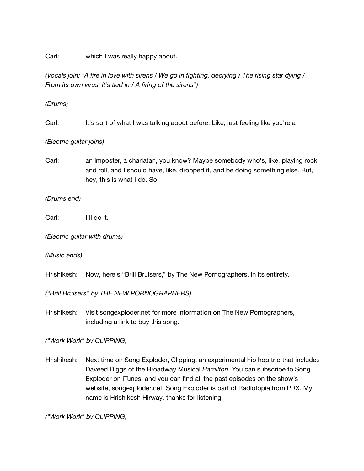Carl: which I was really happy about.

(Vocals join: "A fire in love with sirens / We go in fighting, decrying / The rising star dying / *From its own virus, it's tied in / A firing of the sirens")*

## *(Drums)*

Carl: It's sort of what I was talking about before. Like, just feeling like you're a

#### *(Electric guitar joins)*

Carl: an imposter, a charlatan, you know? Maybe somebody who's, like, playing rock and roll, and I should have, like, dropped it, and be doing something else. But, hey, this is what I do. So,

#### *(Drums end)*

Carl: I'll do it.

*(Electric guitar with drums)*

*(Music ends)*

Hrishikesh: Now, here's "Brill Bruisers," by The New Pornographers, in its entirety.

*("Brill Bruisers" by THE NEW PORNOGRAPHERS)*

Hrishikesh: Visit songexploder.net for more information on The New Pornographers, including a link to buy this song.

*("Work Work" by CLIPPING)*

Hrishikesh: Next time on Song Exploder, Clipping, an experimental hip hop trio that includes Daveed Diggs of the Broadway Musical *Hamilton*. You can subscribe to Song Exploder on iTunes, and you can find all the past episodes on the show's website, songexploder.net. Song Exploder is part of Radiotopia from PRX. My name is Hrishikesh Hirway, thanks for listening.

*("Work Work" by CLIPPING)*